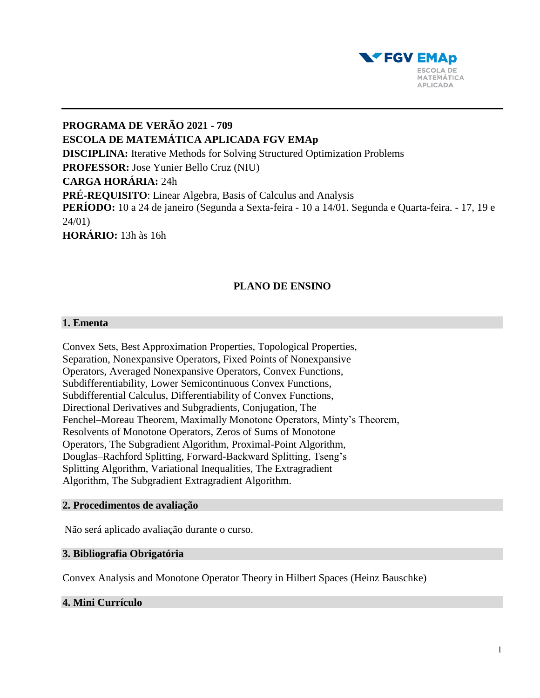

**PROGRAMA DE VERÃO 2021 - 709 ESCOLA DE MATEMÁTICA APLICADA FGV EMAp DISCIPLINA:** Iterative Methods for Solving Structured Optimization Problems **PROFESSOR:** Jose Yunier Bello Cruz (NIU) **CARGA HORÁRIA:** 24h **PRÉ-REQUISITO**: Linear Algebra, Basis of Calculus and Analysis **PERÍODO:** 10 a 24 de janeiro (Segunda a Sexta-feira - 10 a 14/01. Segunda e Quarta-feira. - 17, 19 e 24/01) **HORÁRIO:** 13h às 16h

# **PLANO DE ENSINO**

## **1. Ementa**

Convex Sets, Best Approximation Properties, Topological Properties, Separation, Nonexpansive Operators, Fixed Points of Nonexpansive Operators, Averaged Nonexpansive Operators, Convex Functions, Subdifferentiability, Lower Semicontinuous Convex Functions, Subdifferential Calculus, Differentiability of Convex Functions, Directional Derivatives and Subgradients, Conjugation, The Fenchel–Moreau Theorem, Maximally Monotone Operators, Minty's Theorem, Resolvents of Monotone Operators, Zeros of Sums of Monotone Operators, The Subgradient Algorithm, Proximal-Point Algorithm, Douglas–Rachford Splitting, Forward-Backward Splitting, Tseng's Splitting Algorithm, Variational Inequalities, The Extragradient Algorithm, The Subgradient Extragradient Algorithm.

#### **2. Procedimentos de avaliação**

Não será aplicado avaliação durante o curso.

### **3. Bibliografia Obrigatória**

Convex Analysis and Monotone Operator Theory in Hilbert Spaces (Heinz Bauschke)

## **4. Mini Currículo**